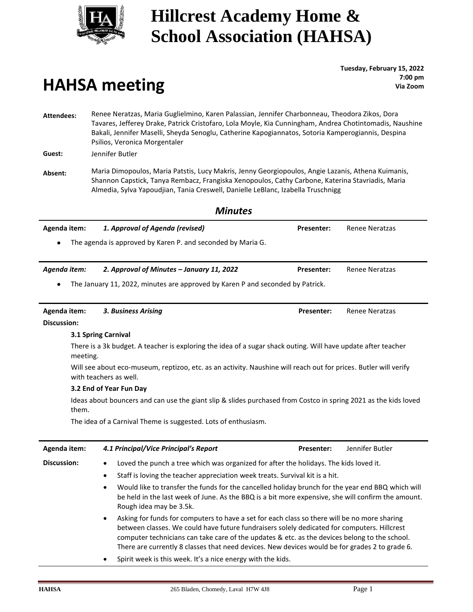

## **Hillcrest Academy Home & School Association (HAHSA)**

## **HAHSA meeting**

**Tuesday, February 15, 2022 : 7:00 pm Via Zoom**

**Attendees:** Renee Neratzas, Maria Guglielmino, Karen Palassian, Jennifer Charbonneau, Theodora Zikos, Dora Tavares, Jefferey Drake, Patrick Cristofaro, Lola Moyle, Kia Cunningham, Andrea Chotintomadis, Naushine Bakali, Jennifer Maselli, Sheyda Senoglu, Catherine Kapogiannatos, Sotoria Kamperogiannis, Despina Psilios, Veronica Morgentaler

**Guest:** Jennifer Butler

**Absent:** Maria Dimopoulos, Maria Patstis, Lucy Makris, Jenny Georgiopoulos, Angie Lazanis, Athena Kuimanis, Shannon Capstick, Tanya Rembacz, Frangiska Xenopoulos, Cathy Carbone, Katerina Stavriadis, Maria Almedia, Sylva Yapoudjian, Tania Creswell, Danielle LeBlanc, Izabella Truschnigg

| <b>Minutes</b>                                                                                                                             |                                                                                                                                                                                                                                                                                                                                                                                                             |                   |                       |  |  |
|--------------------------------------------------------------------------------------------------------------------------------------------|-------------------------------------------------------------------------------------------------------------------------------------------------------------------------------------------------------------------------------------------------------------------------------------------------------------------------------------------------------------------------------------------------------------|-------------------|-----------------------|--|--|
| Agenda item:                                                                                                                               | 1. Approval of Agenda (revised)                                                                                                                                                                                                                                                                                                                                                                             | <b>Presenter:</b> | <b>Renee Neratzas</b> |  |  |
|                                                                                                                                            | The agenda is approved by Karen P. and seconded by Maria G.                                                                                                                                                                                                                                                                                                                                                 |                   |                       |  |  |
| Agenda item:                                                                                                                               | 2. Approval of Minutes - January 11, 2022                                                                                                                                                                                                                                                                                                                                                                   | <b>Presenter:</b> | <b>Renee Neratzas</b> |  |  |
| The January 11, 2022, minutes are approved by Karen P and seconded by Patrick.                                                             |                                                                                                                                                                                                                                                                                                                                                                                                             |                   |                       |  |  |
| Agenda item:                                                                                                                               | 3. Business Arising                                                                                                                                                                                                                                                                                                                                                                                         | <b>Presenter:</b> | <b>Renee Neratzas</b> |  |  |
| <b>Discussion:</b>                                                                                                                         |                                                                                                                                                                                                                                                                                                                                                                                                             |                   |                       |  |  |
| 3.1 Spring Carnival                                                                                                                        |                                                                                                                                                                                                                                                                                                                                                                                                             |                   |                       |  |  |
| There is a 3k budget. A teacher is exploring the idea of a sugar shack outing. Will have update after teacher<br>meeting.                  |                                                                                                                                                                                                                                                                                                                                                                                                             |                   |                       |  |  |
| Will see about eco-museum, reptizoo, etc. as an activity. Naushine will reach out for prices. Butler will verify<br>with teachers as well. |                                                                                                                                                                                                                                                                                                                                                                                                             |                   |                       |  |  |
|                                                                                                                                            | 3.2 End of Year Fun Day                                                                                                                                                                                                                                                                                                                                                                                     |                   |                       |  |  |
| Ideas about bouncers and can use the giant slip & slides purchased from Costco in spring 2021 as the kids loved<br>them.                   |                                                                                                                                                                                                                                                                                                                                                                                                             |                   |                       |  |  |
| The idea of a Carnival Theme is suggested. Lots of enthusiasm.                                                                             |                                                                                                                                                                                                                                                                                                                                                                                                             |                   |                       |  |  |
| Agenda item:                                                                                                                               | 4.1 Principal/Vice Principal's Report                                                                                                                                                                                                                                                                                                                                                                       | <b>Presenter:</b> | Jennifer Butler       |  |  |
| <b>Discussion:</b>                                                                                                                         | Loved the punch a tree which was organized for after the holidays. The kids loved it.<br>$\bullet$                                                                                                                                                                                                                                                                                                          |                   |                       |  |  |
|                                                                                                                                            | Staff is loving the teacher appreciation week treats. Survival kit is a hit.<br>$\bullet$                                                                                                                                                                                                                                                                                                                   |                   |                       |  |  |
|                                                                                                                                            | Would like to transfer the funds for the cancelled holiday brunch for the year end BBQ which will<br>$\bullet$<br>be held in the last week of June. As the BBQ is a bit more expensive, she will confirm the amount.<br>Rough idea may be 3.5k.                                                                                                                                                             |                   |                       |  |  |
|                                                                                                                                            | Asking for funds for computers to have a set for each class so there will be no more sharing<br>$\bullet$<br>between classes. We could have future fundraisers solely dedicated for computers. Hillcrest<br>computer technicians can take care of the updates & etc. as the devices belong to the school.<br>There are currently 8 classes that need devices. New devices would be for grades 2 to grade 6. |                   |                       |  |  |
|                                                                                                                                            | Spirit week is this week. It's a nice energy with the kids.<br>$\bullet$                                                                                                                                                                                                                                                                                                                                    |                   |                       |  |  |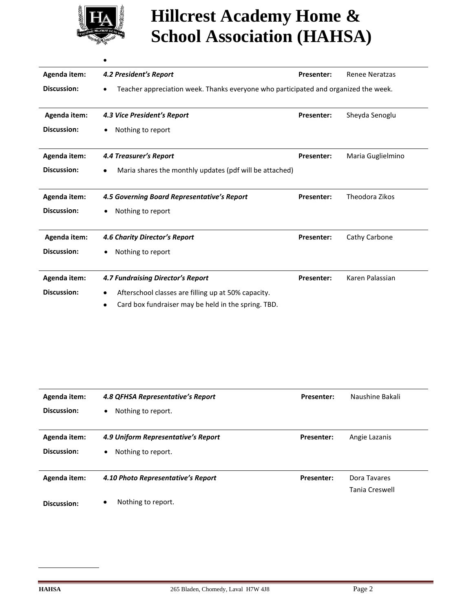

•

## **Hillcrest Academy Home & School Association (HAHSA)**

| Agenda item:       | 4.2 President's Report                                                                           | <b>Presenter:</b> | <b>Renee Neratzas</b> |  |
|--------------------|--------------------------------------------------------------------------------------------------|-------------------|-----------------------|--|
| Discussion:        | Teacher appreciation week. Thanks everyone who participated and organized the week.<br>$\bullet$ |                   |                       |  |
|                    |                                                                                                  |                   |                       |  |
| Agenda item:       | 4.3 Vice President's Report                                                                      | <b>Presenter:</b> | Sheyda Senoglu        |  |
| <b>Discussion:</b> | Nothing to report                                                                                |                   |                       |  |
|                    |                                                                                                  |                   |                       |  |
| Agenda item:       | <b>4.4 Treasurer's Report</b>                                                                    | <b>Presenter:</b> | Maria Guglielmino     |  |
| Discussion:        | Maria shares the monthly updates (pdf will be attached)<br>٠                                     |                   |                       |  |
|                    |                                                                                                  |                   |                       |  |
| Agenda item:       | 4.5 Governing Board Representative's Report                                                      | <b>Presenter:</b> | Theodora Zikos        |  |
| Discussion:        | Nothing to report                                                                                |                   |                       |  |
|                    |                                                                                                  |                   |                       |  |
| Agenda item:       | 4.6 Charity Director's Report                                                                    | <b>Presenter:</b> | Cathy Carbone         |  |
| Discussion:        | Nothing to report                                                                                |                   |                       |  |
|                    |                                                                                                  |                   |                       |  |
| Agenda item:       | <b>4.7 Fundraising Director's Report</b>                                                         | <b>Presenter:</b> | Karen Palassian       |  |
| Discussion:        | Afterschool classes are filling up at 50% capacity.<br>٠                                         |                   |                       |  |
|                    | Card box fundraiser may be held in the spring. TBD.                                              |                   |                       |  |

| Agenda item: | 4.8 QFHSA Representative's Report   | <b>Presenter:</b> | Naushine Bakali       |
|--------------|-------------------------------------|-------------------|-----------------------|
| Discussion:  | Nothing to report.<br>$\bullet$     |                   |                       |
|              |                                     |                   |                       |
| Agenda item: | 4.9 Uniform Representative's Report | <b>Presenter:</b> | Angie Lazanis         |
| Discussion:  | Nothing to report.<br>$\bullet$     |                   |                       |
| Agenda item: | 4.10 Photo Representative's Report  | <b>Presenter:</b> | Dora Tavares          |
|              |                                     |                   | <b>Tania Creswell</b> |
| Discussion:  | Nothing to report.<br>٠             |                   |                       |